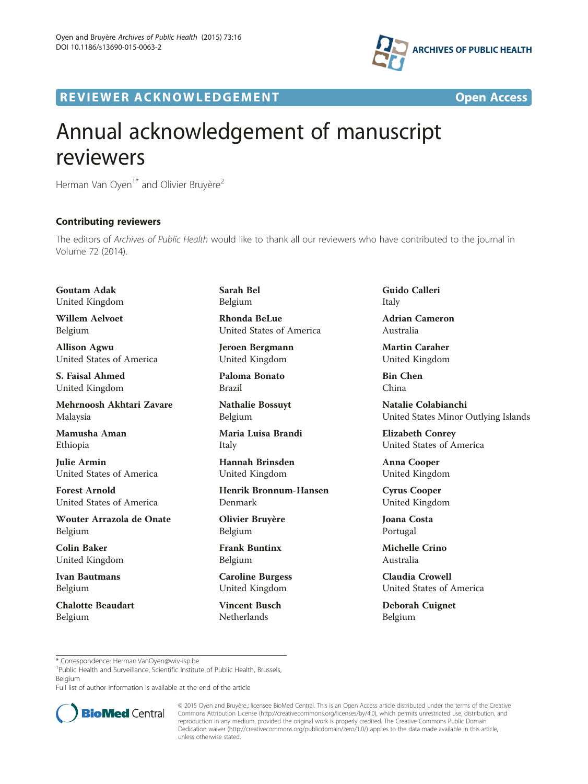

R EVI EW E R ACKNOW L EDG EM EN T Open Access



## Annual acknowledgement of manuscript reviewers

Herman Van Oyen<sup>1\*</sup> and Olivier Bruyère<sup>2</sup>

## Contributing reviewers

The editors of *Archives of Public Health w*ould like to thank all our reviewers who have contributed to the journal in Volume 72 (2014).

Goutam Adak United Kingdom

Willem Aelvoet Belgium

Allison Agwu United States of America

S. Faisal Ahmed United Kingdom

Mehrnoosh Akhtari Zavare Malaysia

Mamusha Aman Ethiopia

Julie Armin United States of America

Forest Arnold United States of America

Wouter Arrazola de Onate Belgium

Colin Baker United Kingdom

Ivan Bautmans Belgium

Chalotte Beaudart Belgium

Sarah Bel Belgium

Rhonda BeLue United States of America

Jeroen Bergmann United Kingdom

Paloma Bonato Brazil

Nathalie Bossuyt Belgium

Maria Luisa Brandi Italy

Hannah Brinsden United Kingdom

Henrik Bronnum-Hansen Denmark

Olivier Bruyère Belgium

Frank Buntinx Belgium

Caroline Burgess United Kingdom

Vincent Busch Netherlands

Guido Calleri Italy

Adrian Cameron Australia

Martin Caraher United Kingdom

Bin Chen China

Natalie Colabianchi United States Minor Outlying Islands

Elizabeth Conrey United States of America

Anna Cooper United Kingdom

Cyrus Cooper United Kingdom

Joana Costa Portugal

Michelle Crino Australia

Claudia Crowell United States of America

Deborah Cuignet Belgium

\* Correspondence: [Herman.VanOyen@wiv-isp.be](mailto:Herman.VanOyen@wiv-isp.be) <sup>1</sup>

<sup>1</sup>Public Health and Surveillance, Scientific Institute of Public Health, Brussels, Belgium

Full list of author information is available at the end of the article



© 2015 Oyen and Bruyère.; licensee BioMed Central. This is an Open Access article distributed under the terms of the Creative Commons Attribution License [\(http://creativecommons.org/licenses/by/4.0\)](http://creativecommons.org/licenses/by/4.0), which permits unrestricted use, distribution, and reproduction in any medium, provided the original work is properly credited. The Creative Commons Public Domain Dedication waiver [\(http://creativecommons.org/publicdomain/zero/1.0/](http://creativecommons.org/publicdomain/zero/1.0/)) applies to the data made available in this article, unless otherwise stated.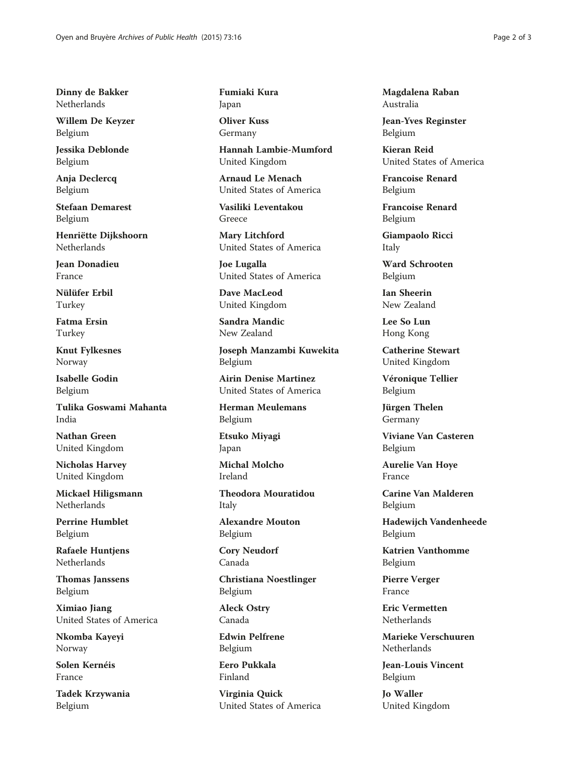Dinny de Bakker Netherlands

Willem De Keyzer Belgium

Jessika Deblonde Belgium

Anja Declercq Belgium

Stefaan Demarest Belgium

Henriëtte Dijkshoorn Netherlands

Jean Donadieu France

Nülüfer Erbil Turkey

Fatma Ersin Turkey

Knut Fylkesnes Norway

Isabelle Godin Belgium

Tulika Goswami Mahanta India

Nathan Green United Kingdom

Nicholas Harvey United Kingdom

Mickael Hiligsmann Netherlands

Perrine Humblet Belgium

Rafaele Huntjens Netherlands

Thomas Janssens Belgium

Ximiao Jiang United States of America

Nkomba Kayeyi Norway

Solen Kernéis France

Tadek Krzywania Belgium

Fumiaki Kura Japan

Oliver Kuss Germany

Hannah Lambie-Mumford United Kingdom

Arnaud Le Menach United States of America

Vasiliki Leventakou Greece

Mary Litchford United States of America

Joe Lugalla United States of America

Dave MacLeod United Kingdom

Sandra Mandic New Zealand

Joseph Manzambi Kuwekita Belgium

Airin Denise Martinez United States of America

Herman Meulemans Belgium

Etsuko Miyagi Japan

Michal Molcho Ireland

Theodora Mouratidou Italy

Alexandre Mouton Belgium

Cory Neudorf Canada

Christiana Noestlinger Belgium

Aleck Ostry Canada

Edwin Pelfrene Belgium

Eero Pukkala Finland

Virginia Quick United States of America Magdalena Raban Australia

Jean-Yves Reginster Belgium

Kieran Reid United States of America

Francoise Renard Belgium

Francoise Renard Belgium

Giampaolo Ricci Italy

Ward Schrooten Belgium

Ian Sheerin New Zealand

Lee So Lun Hong Kong

Catherine Stewart United Kingdom

Véronique Tellier Belgium

Jürgen Thelen Germany

Viviane Van Casteren Belgium

Aurelie Van Hoye France

Carine Van Malderen Belgium

Hadewijch Vandenheede Belgium

Katrien Vanthomme Belgium

Pierre Verger France

Eric Vermetten **Netherlands** 

Marieke Verschuuren Netherlands

Jean-Louis Vincent Belgium

Jo Waller United Kingdom